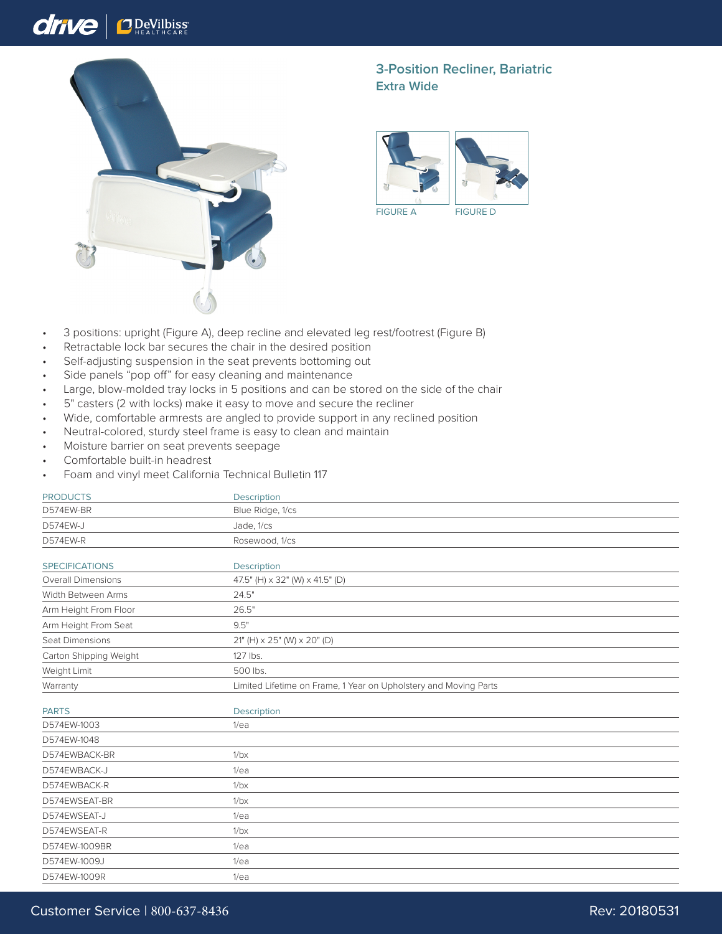## drive **O** DeVilbiss



## **3-Position Recliner, Bariatric Extra Wide**



- 3 positions: upright (Figure A), deep recline and elevated leg rest/footrest (Figure B)
- Retractable lock bar secures the chair in the desired position
- Self-adjusting suspension in the seat prevents bottoming out
- Side panels "pop off" for easy cleaning and maintenance
- Large, blow-molded tray locks in 5 positions and can be stored on the side of the chair
- 5" casters (2 with locks) make it easy to move and secure the recliner
- Wide, comfortable armrests are angled to provide support in any reclined position
- Neutral-colored, sturdy steel frame is easy to clean and maintain
- Moisture barrier on seat prevents seepage
- Comfortable built-in headrest
- Foam and vinyl meet California Technical Bulletin 117

| <b>PRODUCTS</b>           | Description                                                      |
|---------------------------|------------------------------------------------------------------|
| D574EW-BR                 | Blue Ridge, 1/cs                                                 |
| D574EW-J                  | Jade, 1/cs                                                       |
| D574EW-R                  | Rosewood, 1/cs                                                   |
| <b>SPECIFICATIONS</b>     | Description                                                      |
| <b>Overall Dimensions</b> | 47.5" (H) x 32" (W) x 41.5" (D)                                  |
| Width Between Arms        | 24.5"                                                            |
| Arm Height From Floor     | 26.5"                                                            |
| Arm Height From Seat      | 9.5"                                                             |
| Seat Dimensions           | 21" (H) $\times$ 25" (W) $\times$ 20" (D)                        |
| Carton Shipping Weight    | 127 lbs.                                                         |
| Weight Limit              | 500 lbs.                                                         |
| Warranty                  | Limited Lifetime on Frame, 1 Year on Upholstery and Moving Parts |
| <b>PARTS</b>              | Description                                                      |
| D574EW-1003               | 1/ea                                                             |
| D574EW-1048               |                                                                  |
| D574EWBACK-BR             | 1/bx                                                             |
| D574EWBACK-J              | 1/ea                                                             |
| D574EWBACK-R              | 1/bx                                                             |
| D574EWSEAT-BR             | 1/bx                                                             |
| D574EWSEAT-J              | 1/ea                                                             |
| D574EWSEAT-R              | 1/bx                                                             |
| D574EW-1009BR             | 1/ea                                                             |
| D574EW-1009J              | 1/ea                                                             |
| D574EW-1009R              | 1/ea                                                             |